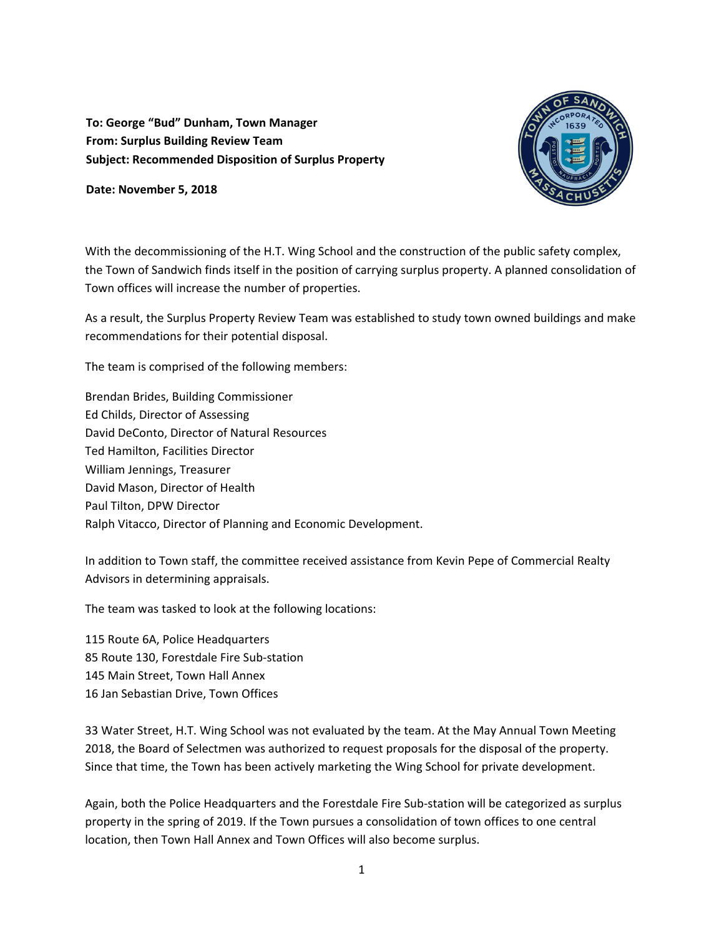**To: George "Bud" Dunham, Town Manager From: Surplus Building Review Team Subject: Recommended Disposition of Surplus Property** 





With the decommissioning of the H.T. Wing School and the construction of the public safety complex, the Town of Sandwich finds itself in the position of carrying surplus property. A planned consolidation of Town offices will increase the number of properties.

As a result, the Surplus Property Review Team was established to study town owned buildings and make recommendations for their potential disposal.

The team is comprised of the following members:

Brendan Brides, Building Commissioner Ed Childs, Director of Assessing David DeConto, Director of Natural Resources Ted Hamilton, Facilities Director William Jennings, Treasurer David Mason, Director of Health Paul Tilton, DPW Director Ralph Vitacco, Director of Planning and Economic Development.

In addition to Town staff, the committee received assistance from Kevin Pepe of Commercial Realty Advisors in determining appraisals.

The team was tasked to look at the following locations:

115 Route 6A, Police Headquarters 85 Route 130, Forestdale Fire Sub‐station 145 Main Street, Town Hall Annex 16 Jan Sebastian Drive, Town Offices

33 Water Street, H.T. Wing School was not evaluated by the team. At the May Annual Town Meeting 2018, the Board of Selectmen was authorized to request proposals for the disposal of the property. Since that time, the Town has been actively marketing the Wing School for private development.

Again, both the Police Headquarters and the Forestdale Fire Sub‐station will be categorized as surplus property in the spring of 2019. If the Town pursues a consolidation of town offices to one central location, then Town Hall Annex and Town Offices will also become surplus.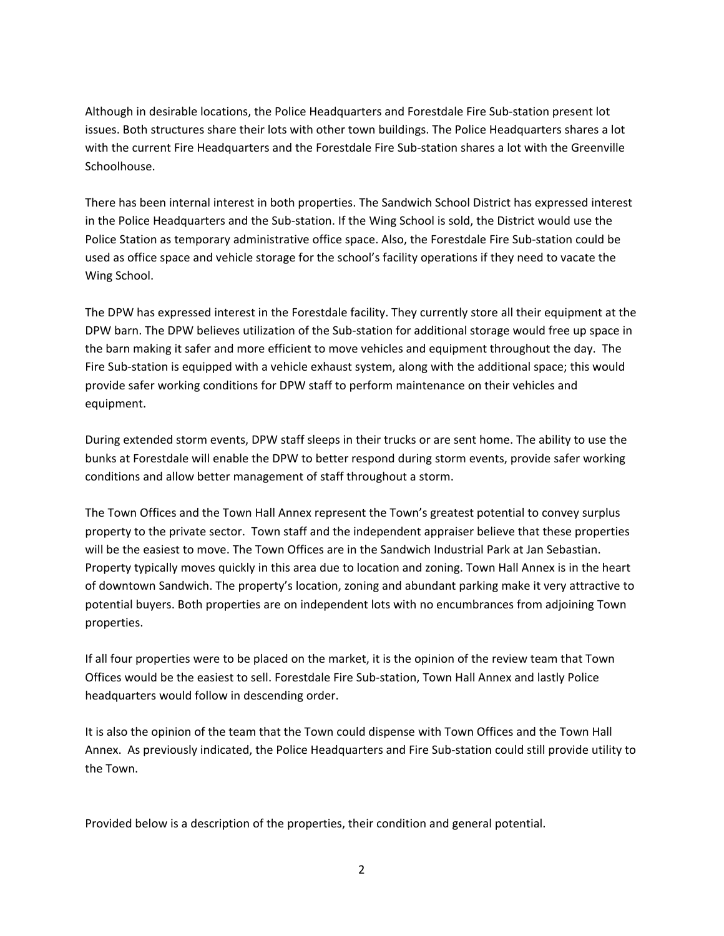Although in desirable locations, the Police Headquarters and Forestdale Fire Sub‐station present lot issues. Both structures share their lots with other town buildings. The Police Headquarters shares a lot with the current Fire Headquarters and the Forestdale Fire Sub-station shares a lot with the Greenville Schoolhouse.

There has been internal interest in both properties. The Sandwich School District has expressed interest in the Police Headquarters and the Sub‐station. If the Wing School is sold, the District would use the Police Station as temporary administrative office space. Also, the Forestdale Fire Sub‐station could be used as office space and vehicle storage for the school's facility operations if they need to vacate the Wing School.

The DPW has expressed interest in the Forestdale facility. They currently store all their equipment at the DPW barn. The DPW believes utilization of the Sub-station for additional storage would free up space in the barn making it safer and more efficient to move vehicles and equipment throughout the day. The Fire Sub‐station is equipped with a vehicle exhaust system, along with the additional space; this would provide safer working conditions for DPW staff to perform maintenance on their vehicles and equipment.

During extended storm events, DPW staff sleeps in their trucks or are sent home. The ability to use the bunks at Forestdale will enable the DPW to better respond during storm events, provide safer working conditions and allow better management of staff throughout a storm.

The Town Offices and the Town Hall Annex represent the Town's greatest potential to convey surplus property to the private sector. Town staff and the independent appraiser believe that these properties will be the easiest to move. The Town Offices are in the Sandwich Industrial Park at Jan Sebastian. Property typically moves quickly in this area due to location and zoning. Town Hall Annex is in the heart of downtown Sandwich. The property's location, zoning and abundant parking make it very attractive to potential buyers. Both properties are on independent lots with no encumbrances from adjoining Town properties.

If all four properties were to be placed on the market, it is the opinion of the review team that Town Offices would be the easiest to sell. Forestdale Fire Sub‐station, Town Hall Annex and lastly Police headquarters would follow in descending order.

It is also the opinion of the team that the Town could dispense with Town Offices and the Town Hall Annex. As previously indicated, the Police Headquarters and Fire Sub‐station could still provide utility to the Town.

Provided below is a description of the properties, their condition and general potential.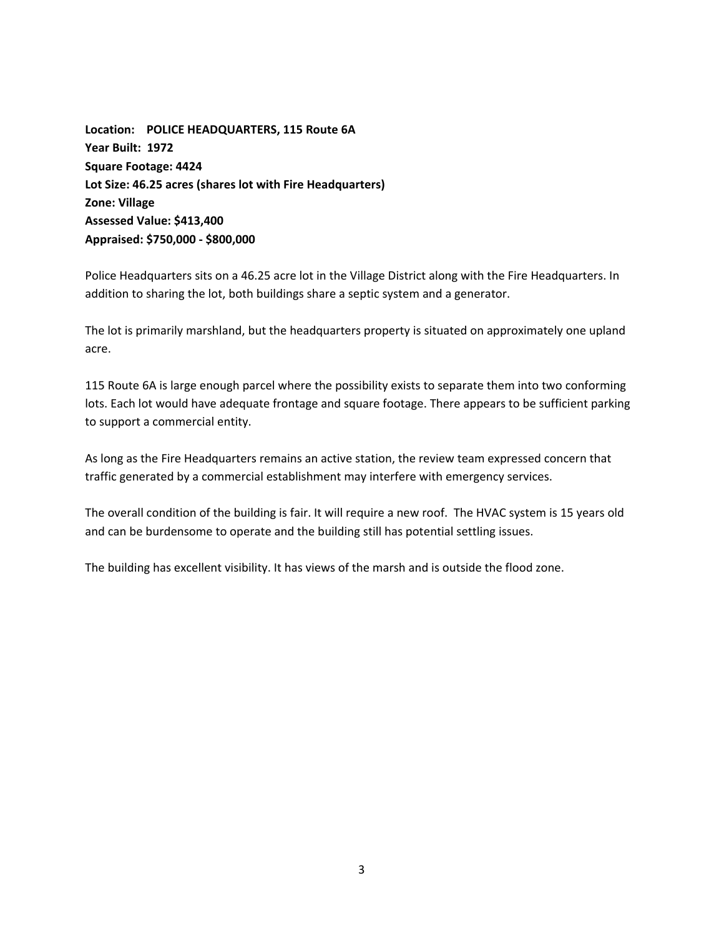**Location: POLICE HEADQUARTERS, 115 Route 6A Year Built: 1972 Square Footage: 4424 Lot Size: 46.25 acres (shares lot with Fire Headquarters) Zone: Village Assessed Value: \$413,400 Appraised: \$750,000 ‐ \$800,000** 

Police Headquarters sits on a 46.25 acre lot in the Village District along with the Fire Headquarters. In addition to sharing the lot, both buildings share a septic system and a generator.

The lot is primarily marshland, but the headquarters property is situated on approximately one upland acre.

115 Route 6A is large enough parcel where the possibility exists to separate them into two conforming lots. Each lot would have adequate frontage and square footage. There appears to be sufficient parking to support a commercial entity.

As long as the Fire Headquarters remains an active station, the review team expressed concern that traffic generated by a commercial establishment may interfere with emergency services.

The overall condition of the building is fair. It will require a new roof. The HVAC system is 15 years old and can be burdensome to operate and the building still has potential settling issues.

The building has excellent visibility. It has views of the marsh and is outside the flood zone.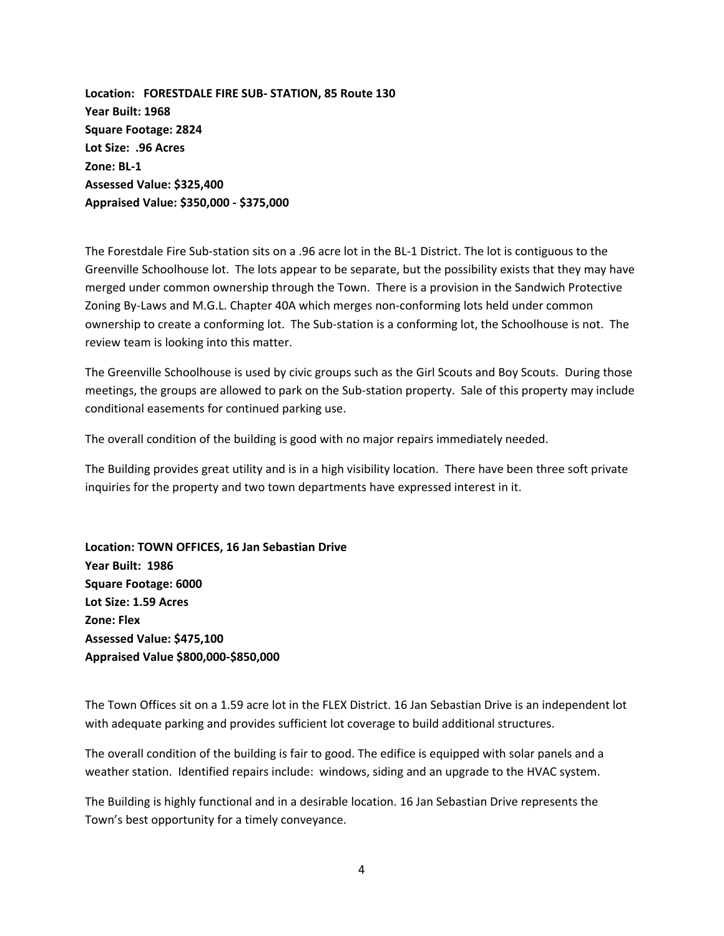**Location: FORESTDALE FIRE SUB‐ STATION, 85 Route 130 Year Built: 1968 Square Footage: 2824 Lot Size: .96 Acres Zone: BL‐1 Assessed Value: \$325,400 Appraised Value: \$350,000 ‐ \$375,000** 

The Forestdale Fire Sub‐station sits on a .96 acre lot in the BL‐1 District. The lot is contiguous to the Greenville Schoolhouse lot. The lots appear to be separate, but the possibility exists that they may have merged under common ownership through the Town. There is a provision in the Sandwich Protective Zoning By‐Laws and M.G.L. Chapter 40A which merges non‐conforming lots held under common ownership to create a conforming lot. The Sub‐station is a conforming lot, the Schoolhouse is not. The review team is looking into this matter.

The Greenville Schoolhouse is used by civic groups such as the Girl Scouts and Boy Scouts. During those meetings, the groups are allowed to park on the Sub‐station property. Sale of this property may include conditional easements for continued parking use.

The overall condition of the building is good with no major repairs immediately needed.

The Building provides great utility and is in a high visibility location. There have been three soft private inquiries for the property and two town departments have expressed interest in it.

**Location: TOWN OFFICES, 16 Jan Sebastian Drive Year Built: 1986 Square Footage: 6000 Lot Size: 1.59 Acres Zone: Flex Assessed Value: \$475,100 Appraised Value \$800,000‐\$850,000** 

The Town Offices sit on a 1.59 acre lot in the FLEX District. 16 Jan Sebastian Drive is an independent lot with adequate parking and provides sufficient lot coverage to build additional structures.

The overall condition of the building is fair to good. The edifice is equipped with solar panels and a weather station. Identified repairs include: windows, siding and an upgrade to the HVAC system.

The Building is highly functional and in a desirable location. 16 Jan Sebastian Drive represents the Town's best opportunity for a timely conveyance.